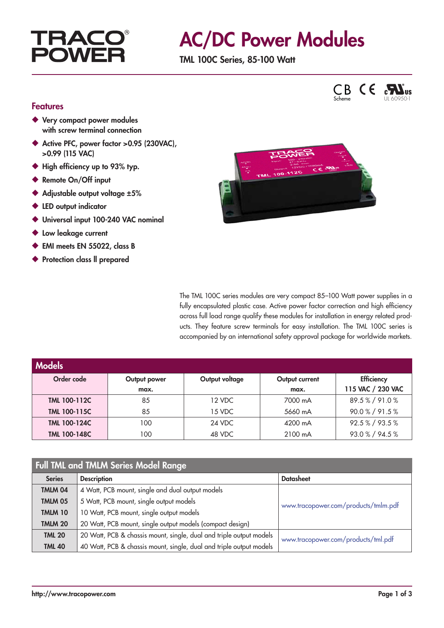# **TRAC POWF**

# AC/DC Power Modules

TML 100C Series, 85-100 Watt





### Features

- ◆ Very compact power modules with screw terminal connection
- ◆ Active PFC, power factor > 0.95 (230VAC), >0.99 (115 VAC)
- ◆ High efficiency up to 93% typ.
- ◆ Remote On/Off input
- ◆ Adjustable output voltage ±5%
- ◆ LED output indicator
- ◆ Universal input 100-240 VAC nominal
- ◆ Low leakage current
- ◆ EMI meets EN 55022, class B
- ◆ Protection class II prepared



The TML 100C series modules are very compact 85–100 Watt power supplies in a fully encapsulated plastic case. Active power factor correction and high efficiency across full load range qualify these modules for installation in energy related products. They feature screw terminals for easy installation. The TML 100C series is accompanied by an international safety approval package for worldwide markets.

| <b>Models</b>       |              |                |                |                   |
|---------------------|--------------|----------------|----------------|-------------------|
| Order code          | Output power | Output voltage | Output current | <b>Efficiency</b> |
|                     | max.         |                | max.           | 115 VAC / 230 VAC |
| TML 100-112C        | 85           | 12 VDC         | 7000 mA        | 89.5%/91.0%       |
| TML 100-115C        | 85           | 15 VDC         | 5660 mA        | 90.0 % / 91.5 %   |
| <b>TML 100-124C</b> | 100          | 24 VDC         | 4200 mA        | 92.5%/93.5%       |
| <b>TML 100-148C</b> | 100          | 48 VDC         | 2100 mA        | 93.0%/94.5%       |

## Full TML and TMLM Series Model Range

| <b>Series</b>  | <b>Description</b>                                                  | <b>Datasheet</b>                     |  |
|----------------|---------------------------------------------------------------------|--------------------------------------|--|
| TMLM 04        | 4 Watt, PCB mount, single and dual output models                    |                                      |  |
| <b>TMLM 05</b> | 5 Watt, PCB mount, single output models                             | www.tracopower.com/products/tmlm.pdf |  |
| <b>TMLM 10</b> | 10 Watt, PCB mount, single output models                            |                                      |  |
| <b>TMLM 20</b> | 20 Watt, PCB mount, single output models (compact design)           |                                      |  |
| <b>TML 20</b>  | 20 Watt, PCB & chassis mount, single, dual and triple output models | www.tracopower.com/products/tml.pdf  |  |
| <b>TML 40</b>  | 40 Watt, PCB & chassis mount, single, dual and triple output models |                                      |  |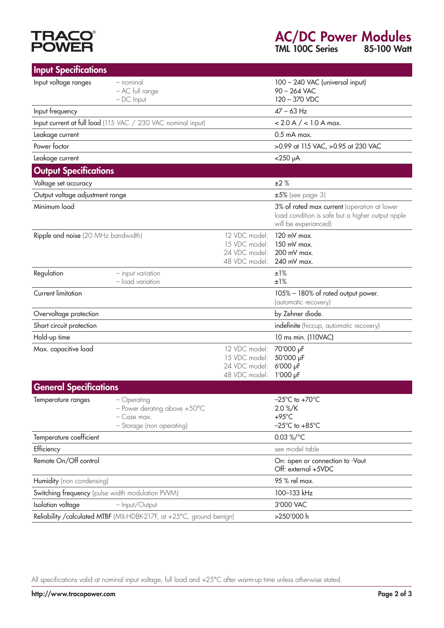# **TRACO<sup>®</sup>**<br>POWER

TML 100C Series 85-100 Watt

| <b>Input Specifications</b>                      |                                                                                         |                                                                  |                                                                                                                          |  |
|--------------------------------------------------|-----------------------------------------------------------------------------------------|------------------------------------------------------------------|--------------------------------------------------------------------------------------------------------------------------|--|
| Input voltage ranges                             | - nominal<br>- AC full range<br>$-DC$ Input                                             |                                                                  | 100 - 240 VAC (universal input)<br>$90 - 264$ VAC<br>120 - 370 VDC                                                       |  |
| Input frequency                                  |                                                                                         |                                                                  | $47 - 63$ Hz                                                                                                             |  |
|                                                  | Input current at full load (115 VAC / 230 VAC nominal input)                            |                                                                  | $< 2.0 A / < 1.0 A max$ .                                                                                                |  |
| Leakage current                                  |                                                                                         |                                                                  | $0.5$ mA max.                                                                                                            |  |
| Power factor                                     |                                                                                         |                                                                  | >0.99 at 115 VAC, >0.95 at 230 VAC                                                                                       |  |
| Leakage current                                  |                                                                                         |                                                                  | $<$ 250 µA                                                                                                               |  |
| <b>Output Specifications</b>                     |                                                                                         |                                                                  |                                                                                                                          |  |
| Voltage set accuracy                             |                                                                                         |                                                                  | ±2%                                                                                                                      |  |
| Output voltage adjustment range                  |                                                                                         |                                                                  | $±5\%$ (see page 3)                                                                                                      |  |
| Minimum load                                     |                                                                                         |                                                                  | 3% of rated max current (operation at lower<br>load condition is safe but a higher output ripple<br>will be experianced) |  |
| Ripple and noise (20 MHz bandwidth)              |                                                                                         | 12 VDC model:<br>15 VDC model:<br>24 VDC model:<br>48 VDC model: | 120 mV max.<br>150 mV max.<br>200 mV max.<br>240 mV max.                                                                 |  |
| Regulation                                       | - input variation<br>- load variation                                                   |                                                                  | ±1%<br>±1%                                                                                                               |  |
| Current limitation                               |                                                                                         |                                                                  | 105% - 180% of rated output power.<br>(automatic recovery)                                                               |  |
| Overvoltage protection                           |                                                                                         |                                                                  | by Zehner diode.                                                                                                         |  |
| Short circuit protection                         |                                                                                         |                                                                  | indefinite (hiccup, automatic recovery)                                                                                  |  |
| Hold-up time                                     |                                                                                         |                                                                  | 10 ms min. (110VAC)                                                                                                      |  |
| Max. capacitive load                             |                                                                                         | 12 VDC model:<br>15 VDC model:<br>24 VDC model:<br>48 VDC model: | 70'000 µF<br>50'000 µF<br>6'000 µF<br>$1'000$ $\mu$ F                                                                    |  |
| <b>General Specifications</b>                    |                                                                                         |                                                                  |                                                                                                                          |  |
| Temperature ranges                               | - Operating<br>- Power derating above +50°C<br>- Case max.<br>- Storage (non operating) |                                                                  | $-25^{\circ}$ C to +70 $^{\circ}$ C<br>$2.0\% / K$<br>$+95^{\circ}$ C<br>$-25^{\circ}$ C to $+85^{\circ}$ C              |  |
| Temperature coefficient                          |                                                                                         |                                                                  | 0.03 %/ $^{\circ}$ C                                                                                                     |  |
| Efficiency                                       |                                                                                         |                                                                  | see model table                                                                                                          |  |
| Remote On/Off control                            |                                                                                         |                                                                  | On: open or connection to -Vout<br>Off: external +5VDC                                                                   |  |
| Humidity (non condensing)                        |                                                                                         | 95 % rel max.                                                    |                                                                                                                          |  |
| Switching frequency (pulse width modulation PWM) |                                                                                         | 100-133 kHz                                                      |                                                                                                                          |  |
| Isolation voltage<br>- Input/Output              |                                                                                         | 3'000 VAC                                                        |                                                                                                                          |  |
|                                                  | Reliability / calculated MTBF (MIL-HDBK-217F, at +25°C, ground benign)                  |                                                                  | >250'000 h                                                                                                               |  |

All specifications valid at nominal input voltage, full load and +25°C after warm-up time unless otherwise stated.